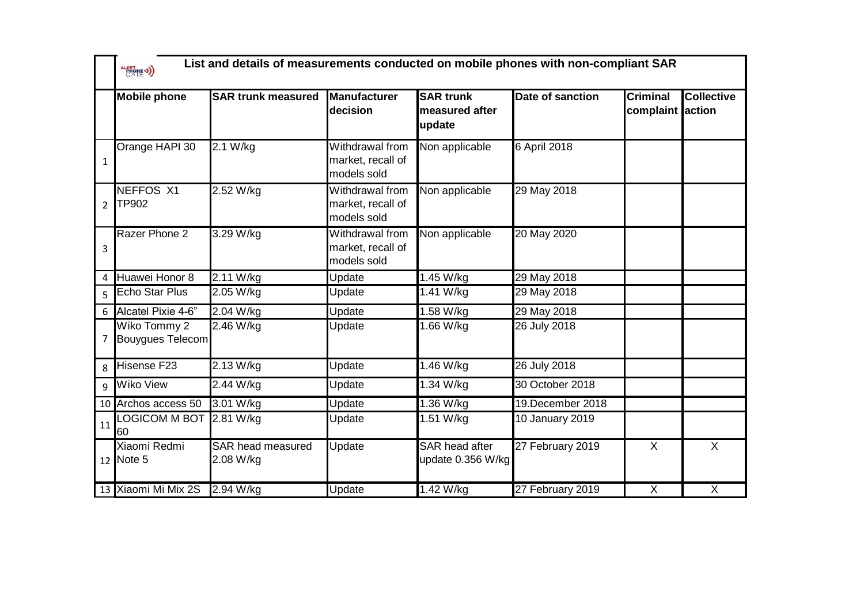|                | ALERTONE -3)                     | List and details of measurements conducted on mobile phones with non-compliant SAR |                                                            |                                              |                     |                                     |                   |  |
|----------------|----------------------------------|------------------------------------------------------------------------------------|------------------------------------------------------------|----------------------------------------------|---------------------|-------------------------------------|-------------------|--|
|                | <b>Mobile phone</b>              | <b>SAR trunk measured</b>                                                          | <b>Manufacturer</b><br>decision                            | <b>SAR trunk</b><br>measured after<br>update | Date of sanction    | <b>Criminal</b><br>complaint action | <b>Collective</b> |  |
| $\mathbf{1}$   | Orange HAPI 30                   | 2.1 W/kg                                                                           | Withdrawal from<br>market, recall of<br>models sold        | Non applicable                               | <b>6 April 2018</b> |                                     |                   |  |
| $\overline{2}$ | <b>NEFFOS X1</b><br><b>TP902</b> | 2.52 W/kg                                                                          | <b>Withdrawal from</b><br>market, recall of<br>models sold | Non applicable                               | 29 May 2018         |                                     |                   |  |
| 3              | Razer Phone 2                    | 3.29 W/kg                                                                          | Withdrawal from<br>market, recall of<br>models sold        | Non applicable                               | 20 May 2020         |                                     |                   |  |
| 4              | Huawei Honor 8                   | 2.11 W/kg                                                                          | Update                                                     | 1.45 W/kg                                    | 29 May 2018         |                                     |                   |  |
| 5              | <b>Echo Star Plus</b>            | 2.05 W/kg                                                                          | Update                                                     | 1.41 W/kg                                    | 29 May 2018         |                                     |                   |  |
| 6              | Alcatel Pixie 4-6"               | 2.04 W/kg                                                                          | Update                                                     | 1.58 W/kg                                    | 29 May 2018         |                                     |                   |  |
| 7              | Wiko Tommy 2<br>Bouygues Telecom | 2.46 W/kg                                                                          | Update                                                     | 1.66 W/kg                                    | 26 July 2018        |                                     |                   |  |
| 8              | Hisense F23                      | 2.13 W/kg                                                                          | Update                                                     | $1.46$ W/kg                                  | 26 July 2018        |                                     |                   |  |
| 9              | Wiko View                        | 2.44 W/kg                                                                          | Update                                                     | 1.34 W/kg                                    | 30 October 2018     |                                     |                   |  |
| 10             | Archos access 50                 | 3.01 W/kg                                                                          | Update                                                     | 1.36 W/kg                                    | 19.December 2018    |                                     |                   |  |
| 11             | <b>LOGICOM M BOT</b><br>60       | 2.81 W/kg                                                                          | Update                                                     | 1.51 W/kg                                    | 10 January 2019     |                                     |                   |  |
|                | Xiaomi Redmi<br>12 Note 5        | <b>SAR</b> head measured<br>2.08 W/kg                                              | Update                                                     | <b>SAR</b> head after<br>update 0.356 W/kg   | 27 February 2019    | X                                   | X                 |  |
|                | 13 Xiaomi Mi Mix 2S              | 2.94 W/kg                                                                          | Update                                                     | 1.42 W/kg                                    | 27 February 2019    | $\overline{X}$                      | X                 |  |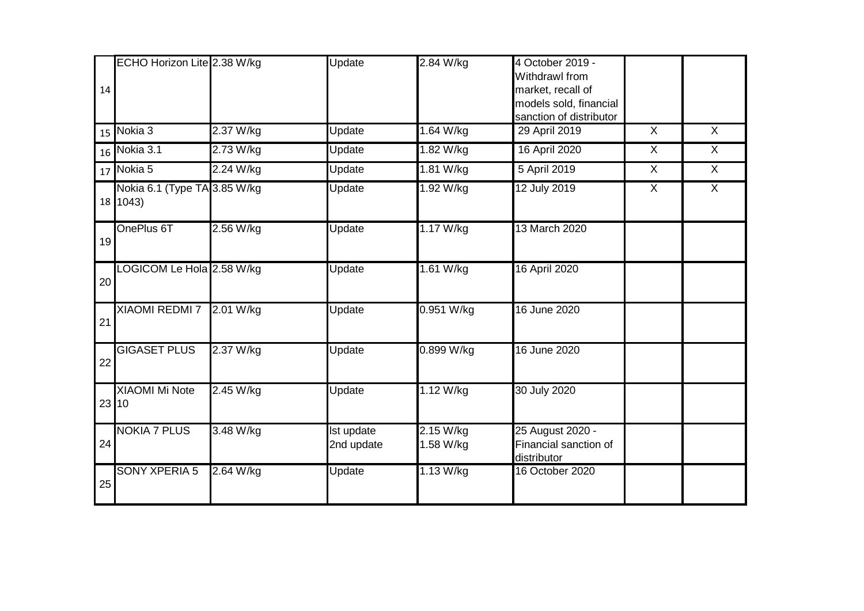|    | ECHO Horizon Lite 2.38 W/kg              |           | Update                   | 2.84 W/kg              | 4 October 2019 -<br>Withdrawl from                                     |                |                |
|----|------------------------------------------|-----------|--------------------------|------------------------|------------------------------------------------------------------------|----------------|----------------|
| 14 |                                          |           |                          |                        | market, recall of<br>models sold, financial<br>sanction of distributor |                |                |
| 15 | Nokia $3$                                | 2.37 W/kg | Update                   | 1.64 W/kg              | 29 April 2019                                                          | $\overline{X}$ | $\overline{X}$ |
| 16 | Nokia 3.1                                | 2.73 W/kg | Update                   | 1.82 W/kg              | 16 April 2020                                                          | $\overline{X}$ | $\overline{X}$ |
| 17 | Nokia 5                                  | 2.24 W/kg | Update                   | 1.81 W/kg              | 5 April 2019                                                           | $\sf X$        | $\overline{X}$ |
|    | Nokia 6.1 (Type TA 3.85 W/kg<br>18 1043) |           | Update                   | 1.92 W/kg              | 12 July 2019                                                           | X              | X              |
| 19 | OnePlus 6T                               | 2.56 W/kg | Update                   | 1.17 W/kg              | 13 March 2020                                                          |                |                |
| 20 | OGICOM Le Hola 2.58 W/kg                 |           | Update                   | 1.61 W/kg              | 16 April 2020                                                          |                |                |
| 21 | XIAOMI REDMI 7 2.01 W/kg                 |           | Update                   | 0.951 W/kg             | 16 June 2020                                                           |                |                |
| 22 | <b>GIGASET PLUS</b>                      | 2.37 W/kg | Update                   | 0.899 W/kg             | 16 June 2020                                                           |                |                |
|    | <b>XIAOMI Mi Note</b><br>23 10           | 2.45 W/kg | Update                   | 1.12 W/kg              | 30 July 2020                                                           |                |                |
| 24 | <b>NOKIA 7 PLUS</b>                      | 3.48 W/kg | Ist update<br>2nd update | 2.15 W/kg<br>1.58 W/kg | 25 August 2020 -<br>Financial sanction of<br>distributor               |                |                |
| 25 | <b>SONY XPERIA 5</b>                     | 2.64 W/kg | Update                   | 1.13 W/kg              | 16 October 2020                                                        |                |                |